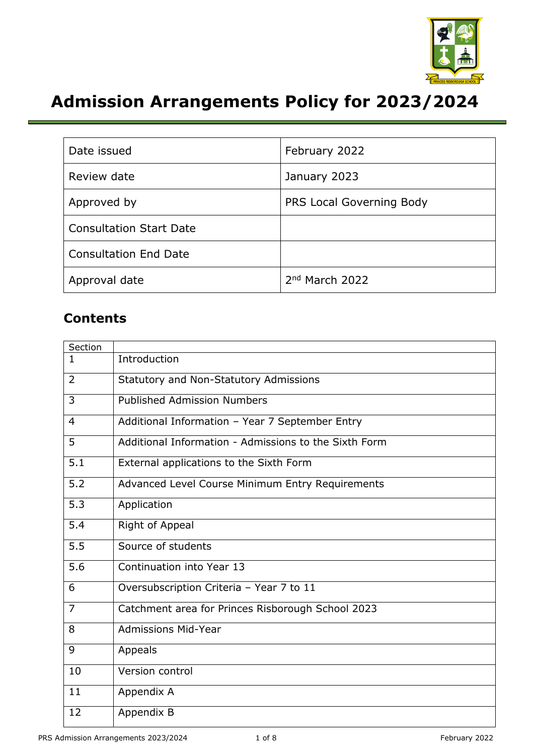

# **Admission Arrangements Policy for 2023/2024**

| Date issued                    | February 2022            |  |
|--------------------------------|--------------------------|--|
| Review date                    | January 2023             |  |
| Approved by                    | PRS Local Governing Body |  |
| <b>Consultation Start Date</b> |                          |  |
| <b>Consultation End Date</b>   |                          |  |
| Approval date                  | $2nd$ March 2022         |  |

### **Contents**

| Section        |                                                       |
|----------------|-------------------------------------------------------|
| $\mathbf{1}$   | Introduction                                          |
| $\overline{2}$ | <b>Statutory and Non-Statutory Admissions</b>         |
| 3              | <b>Published Admission Numbers</b>                    |
| $\overline{4}$ | Additional Information - Year 7 September Entry       |
| 5              | Additional Information - Admissions to the Sixth Form |
| 5.1            | External applications to the Sixth Form               |
| 5.2            | Advanced Level Course Minimum Entry Requirements      |
| 5.3            | Application                                           |
| 5.4            | Right of Appeal                                       |
| 5.5            | Source of students                                    |
| 5.6            | Continuation into Year 13                             |
| 6              | Oversubscription Criteria - Year 7 to 11              |
| $\overline{7}$ | Catchment area for Princes Risborough School 2023     |
| 8              | <b>Admissions Mid-Year</b>                            |
| 9              | Appeals                                               |
| 10             | Version control                                       |
| 11             | Appendix A                                            |
| 12             | Appendix B                                            |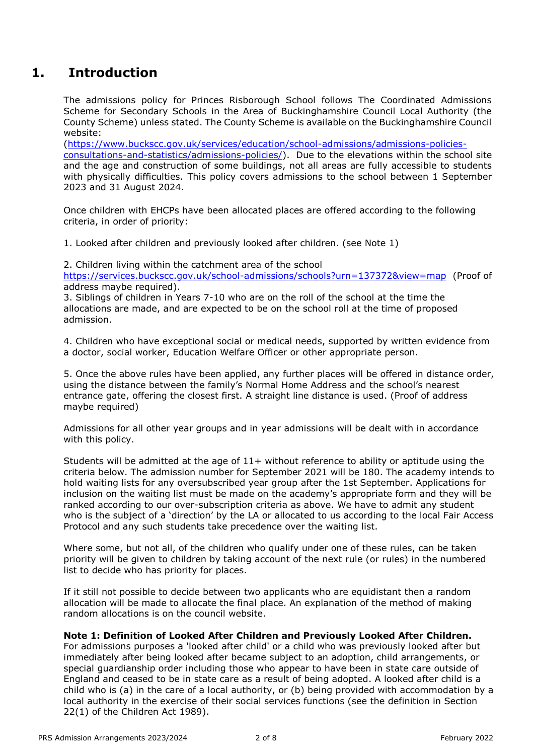### **1. Introduction**

The admissions policy for Princes Risborough School follows The Coordinated Admissions Scheme for Secondary Schools in the Area of Buckinghamshire Council Local Authority (the County Scheme) unless stated. The County Scheme is available on the Buckinghamshire Council website:

[\(https://www.buckscc.gov.uk/services/education/school-admissions/admissions-policies](https://www.buckscc.gov.uk/services/education/school-admissions/admissions-policies-consultations-and-statistics/admissions-policies/)[consultations-and-statistics/admissions-policies/\)](https://www.buckscc.gov.uk/services/education/school-admissions/admissions-policies-consultations-and-statistics/admissions-policies/). Due to the elevations within the school site and the age and construction of some buildings, not all areas are fully accessible to students with physically difficulties. This policy covers admissions to the school between 1 September 2023 and 31 August 2024.

Once children with EHCPs have been allocated places are offered according to the following criteria, in order of priority:

1. Looked after children and previously looked after children. (see Note 1)

2. Children living within the catchment area of the school

<https://services.buckscc.gov.uk/school-admissions/schools?urn=137372&view=map>(Proof of address maybe required).

3. Siblings of children in Years 7-10 who are on the roll of the school at the time the allocations are made, and are expected to be on the school roll at the time of proposed admission.

4. Children who have exceptional social or medical needs, supported by written evidence from a doctor, social worker, Education Welfare Officer or other appropriate person.

5. Once the above rules have been applied, any further places will be offered in distance order, using the distance between the family's Normal Home Address and the school's nearest entrance gate, offering the closest first. A straight line distance is used. (Proof of address maybe required)

Admissions for all other year groups and in year admissions will be dealt with in accordance with this policy.

Students will be admitted at the age of 11+ without reference to ability or aptitude using the criteria below. The admission number for September 2021 will be 180. The academy intends to hold waiting lists for any oversubscribed year group after the 1st September. Applications for inclusion on the waiting list must be made on the academy's appropriate form and they will be ranked according to our over-subscription criteria as above. We have to admit any student who is the subject of a 'direction' by the LA or allocated to us according to the local Fair Access Protocol and any such students take precedence over the waiting list.

Where some, but not all, of the children who qualify under one of these rules, can be taken priority will be given to children by taking account of the next rule (or rules) in the numbered list to decide who has priority for places.

If it still not possible to decide between two applicants who are equidistant then a random allocation will be made to allocate the final place. An explanation of the method of making random allocations is on the council website.

#### **Note 1: Definition of Looked After Children and Previously Looked After Children.**

For admissions purposes a 'looked after child' or a child who was previously looked after but immediately after being looked after became subject to an adoption, child arrangements, or special guardianship order including those who appear to have been in state care outside of England and ceased to be in state care as a result of being adopted. A looked after child is a child who is (a) in the care of a local authority, or (b) being provided with accommodation by a local authority in the exercise of their social services functions (see the definition in Section 22(1) of the Children Act 1989).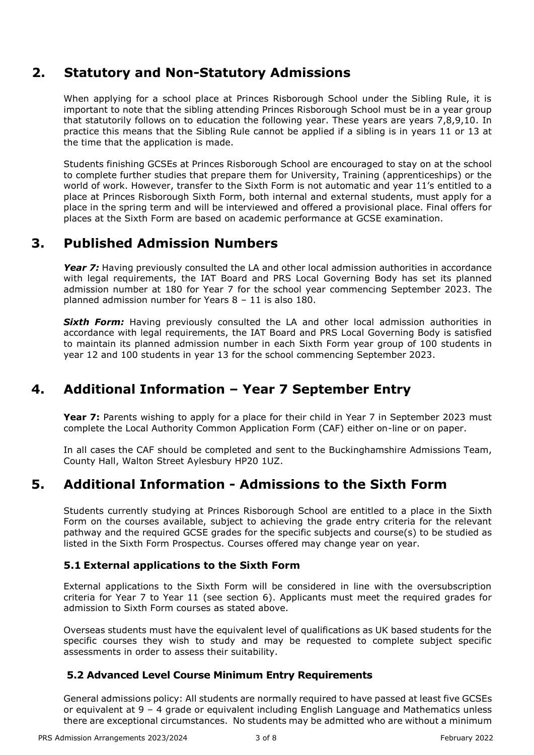### **2. Statutory and Non-Statutory Admissions**

When applying for a school place at Princes Risborough School under the Sibling Rule, it is important to note that the sibling attending Princes Risborough School must be in a year group that statutorily follows on to education the following year. These years are years 7,8,9,10. In practice this means that the Sibling Rule cannot be applied if a sibling is in years 11 or 13 at the time that the application is made.

Students finishing GCSEs at Princes Risborough School are encouraged to stay on at the school to complete further studies that prepare them for University, Training (apprenticeships) or the world of work. However, transfer to the Sixth Form is not automatic and year 11's entitled to a place at Princes Risborough Sixth Form, both internal and external students, must apply for a place in the spring term and will be interviewed and offered a provisional place. Final offers for places at the Sixth Form are based on academic performance at GCSE examination.

### **3. Published Admission Numbers**

Year 7: Having previously consulted the LA and other local admission authorities in accordance with legal requirements, the IAT Board and PRS Local Governing Body has set its planned admission number at 180 for Year 7 for the school year commencing September 2023. The planned admission number for Years 8 – 11 is also 180.

**Sixth Form:** Having previously consulted the LA and other local admission authorities in accordance with legal requirements, the IAT Board and PRS Local Governing Body is satisfied to maintain its planned admission number in each Sixth Form year group of 100 students in year 12 and 100 students in year 13 for the school commencing September 2023.

### **4. Additional Information – Year 7 September Entry**

**Year 7:** Parents wishing to apply for a place for their child in Year 7 in September 2023 must complete the Local Authority Common Application Form (CAF) either on-line or on paper.

In all cases the CAF should be completed and sent to the Buckinghamshire Admissions Team, County Hall, Walton Street Aylesbury HP20 1UZ.

### **5. Additional Information - Admissions to the Sixth Form**

Students currently studying at Princes Risborough School are entitled to a place in the Sixth Form on the courses available, subject to achieving the grade entry criteria for the relevant pathway and the required GCSE grades for the specific subjects and course(s) to be studied as listed in the Sixth Form Prospectus. Courses offered may change year on year.

#### **5.1 External applications to the Sixth Form**

External applications to the Sixth Form will be considered in line with the oversubscription criteria for Year 7 to Year 11 (see section 6). Applicants must meet the required grades for admission to Sixth Form courses as stated above.

Overseas students must have the equivalent level of qualifications as UK based students for the specific courses they wish to study and may be requested to complete subject specific assessments in order to assess their suitability.

#### **5.2 Advanced Level Course Minimum Entry Requirements**

General admissions policy: All students are normally required to have passed at least five GCSEs or equivalent at 9 – 4 grade or equivalent including English Language and Mathematics unless there are exceptional circumstances. No students may be admitted who are without a minimum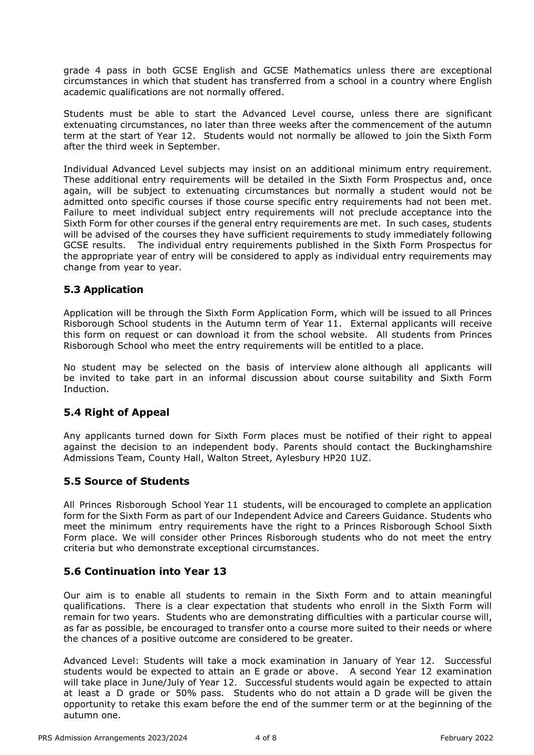grade 4 pass in both GCSE English and GCSE Mathematics unless there are exceptional circumstances in which that student has transferred from a school in a country where English academic qualifications are not normally offered.

Students must be able to start the Advanced Level course, unless there are significant extenuating circumstances, no later than three weeks after the commencement of the autumn term at the start of Year 12. Students would not normally be allowed to join the Sixth Form after the third week in September.

Individual Advanced Level subjects may insist on an additional minimum entry requirement. These additional entry requirements will be detailed in the Sixth Form Prospectus and, once again, will be subject to extenuating circumstances but normally a student would not be admitted onto specific courses if those course specific entry requirements had not been met. Failure to meet individual subject entry requirements will not preclude acceptance into the Sixth Form for other courses if the general entry requirements are met. In such cases, students will be advised of the courses they have sufficient requirements to study immediately following GCSE results. The individual entry requirements published in the Sixth Form Prospectus for the appropriate year of entry will be considered to apply as individual entry requirements may change from year to year.

#### **5.3 Application**

Application will be through the Sixth Form Application Form, which will be issued to all Princes Risborough School students in the Autumn term of Year 11. External applicants will receive this form on request or can download it from the school website. All students from Princes Risborough School who meet the entry requirements will be entitled to a place.

No student may be selected on the basis of interview alone although all applicants will be invited to take part in an informal discussion about course suitability and Sixth Form Induction.

#### **5.4 Right of Appeal**

Any applicants turned down for Sixth Form places must be notified of their right to appeal against the decision to an independent body. Parents should contact the Buckinghamshire Admissions Team, County Hall, Walton Street, Aylesbury HP20 1UZ.

#### **5.5 Source of Students**

All Princes Risborough School Year 11 students, will be encouraged to complete an application form for the Sixth Form as part of our Independent Advice and Careers Guidance. Students who meet the minimum entry requirements have the right to a Princes Risborough School Sixth Form place. We will consider other Princes Risborough students who do not meet the entry criteria but who demonstrate exceptional circumstances.

#### **5.6 Continuation into Year 13**

Our aim is to enable all students to remain in the Sixth Form and to attain meaningful qualifications. There is a clear expectation that students who enroll in the Sixth Form will remain for two years. Students who are demonstrating difficulties with a particular course will, as far as possible, be encouraged to transfer onto a course more suited to their needs or where the chances of a positive outcome are considered to be greater.

Advanced Level: Students will take a mock examination in January of Year 12. Successful students would be expected to attain an E grade or above. A second Year 12 examination will take place in June/July of Year 12. Successful students would again be expected to attain at least a D grade or 50% pass. Students who do not attain a D grade will be given the opportunity to retake this exam before the end of the summer term or at the beginning of the autumn one.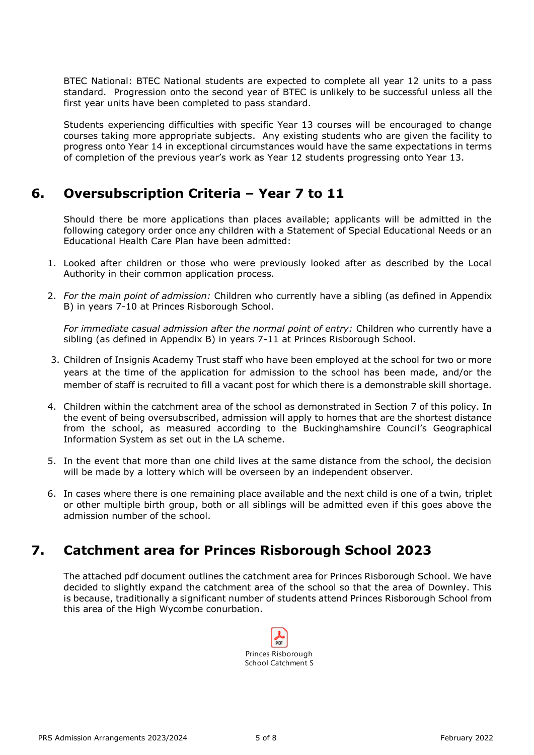BTEC National: BTEC National students are expected to complete all year 12 units to a pass standard. Progression onto the second year of BTEC is unlikely to be successful unless all the first year units have been completed to pass standard.

Students experiencing difficulties with specific Year 13 courses will be encouraged to change courses taking more appropriate subjects. Any existing students who are given the facility to progress onto Year 14 in exceptional circumstances would have the same expectations in terms of completion of the previous year's work as Year 12 students progressing onto Year 13.

### **6. Oversubscription Criteria – Year 7 to 11**

Should there be more applications than places available; applicants will be admitted in the following category order once any children with a Statement of Special Educational Needs or an Educational Health Care Plan have been admitted:

- 1. Looked after children or those who were previously looked after as described by the Local Authority in their common application process.
- 2. *For the main point of admission:* Children who currently have a sibling (as defined in Appendix B) in years 7-10 at Princes Risborough School.

*For immediate casual admission after the normal point of entry:* Children who currently have a sibling (as defined in Appendix B) in years 7-11 at Princes Risborough School.

- 3. Children of Insignis Academy Trust staff who have been employed at the school for two or more years at the time of the application for admission to the school has been made, and/or the member of staff is recruited to fill a vacant post for which there is a demonstrable skill shortage.
- 4. Children within the catchment area of the school as demonstrated in Section 7 of this policy. In the event of being oversubscribed, admission will apply to homes that are the shortest distance from the school, as measured according to the Buckinghamshire Council's Geographical Information System as set out in the LA scheme.
- 5. In the event that more than one child lives at the same distance from the school, the decision will be made by a lottery which will be overseen by an independent observer.
- 6. In cases where there is one remaining place available and the next child is one of a twin, triplet or other multiple birth group, both or all siblings will be admitted even if this goes above the admission number of the school.

### **7. Catchment area for Princes Risborough School 2023**

The attached pdf document outlines the catchment area for Princes Risborough School. We have decided to slightly expand the catchment area of the school so that the area of Downley. This is because, traditionally a significant number of students attend Princes Risborough School from this area of the High Wycombe conurbation.

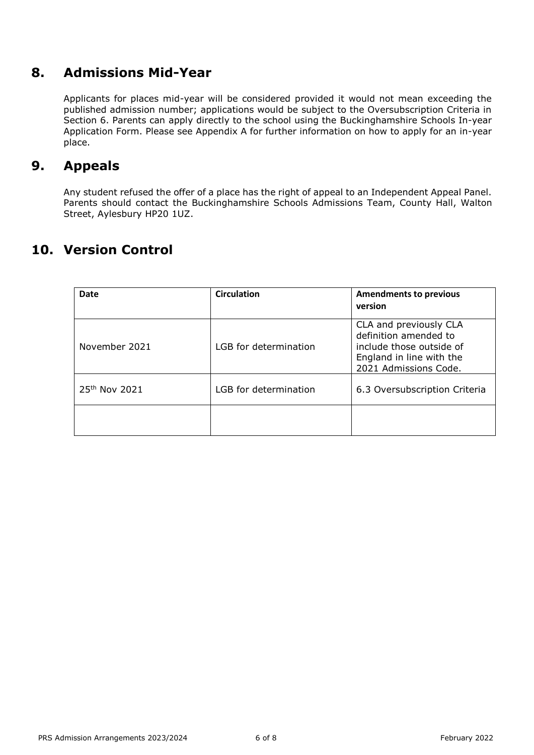### **8. Admissions Mid-Year**

Applicants for places mid-year will be considered provided it would not mean exceeding the published admission number; applications would be subject to the Oversubscription Criteria in Section 6. Parents can apply directly to the school using the Buckinghamshire Schools In-year Application Form. Please see Appendix A for further information on how to apply for an in-year place.

### **9. Appeals**

Any student refused the offer of a place has the right of appeal to an Independent Appeal Panel. Parents should contact the Buckinghamshire Schools Admissions Team, County Hall, Walton Street, Aylesbury HP20 1UZ.

### **10. Version Control**

| Date                      | <b>Circulation</b>    | <b>Amendments to previous</b><br>version                                                                                         |
|---------------------------|-----------------------|----------------------------------------------------------------------------------------------------------------------------------|
| November 2021             | LGB for determination | CLA and previously CLA<br>definition amended to<br>include those outside of<br>England in line with the<br>2021 Admissions Code. |
| 25 <sup>th</sup> Nov 2021 | LGB for determination | 6.3 Oversubscription Criteria                                                                                                    |
|                           |                       |                                                                                                                                  |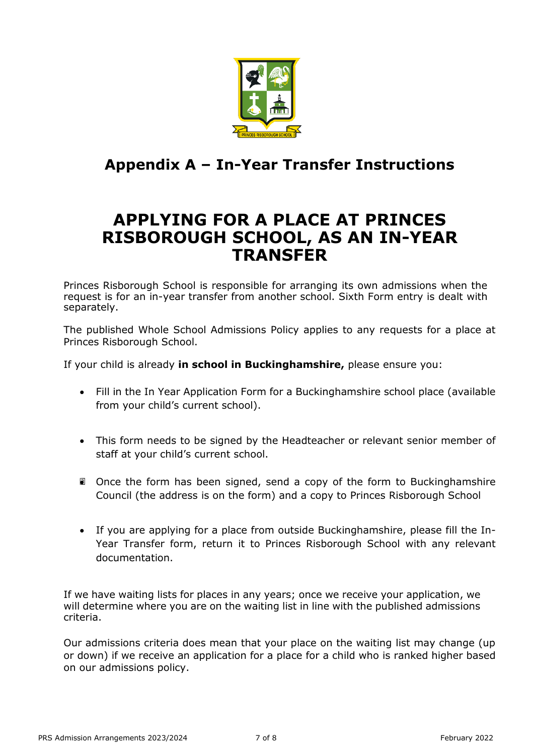

## **Appendix A – In-Year Transfer Instructions**

## **APPLYING FOR A PLACE AT PRINCES RISBOROUGH SCHOOL, AS AN IN-YEAR TRANSFER**

Princes Risborough School is responsible for arranging its own admissions when the request is for an in-year transfer from another school. Sixth Form entry is dealt with separately.

The published Whole School Admissions Policy applies to any requests for a place at Princes Risborough School.

If your child is already **in school in Buckinghamshire,** please ensure you:

- Fill in the In Year Application Form for a Buckinghamshire school place (available from your child's current school).
- This form needs to be signed by the Headteacher or relevant senior member of staff at your child's current school.
- **D** Once the form has been signed, send a copy of the form to Buckinghamshire Council (the address is on the form) and a copy to Princes Risborough School
- If you are applying for a place from outside Buckinghamshire, please fill the In-Year Transfer form, return it to Princes Risborough School with any relevant documentation.

If we have waiting lists for places in any years; once we receive your application, we will determine where you are on the waiting list in line with the published admissions criteria.

Our admissions criteria does mean that your place on the waiting list may change (up or down) if we receive an application for a place for a child who is ranked higher based on our admissions policy.